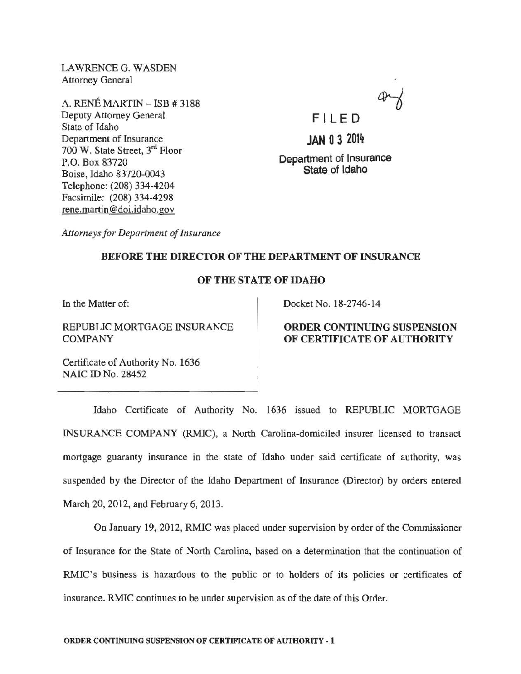LAWRENCE G. WASDEN Attorney General

A. RENÉ MARTIN  $-$  ISB  $\#$  3188 Deputy Attorney General State of Idaho Department of Insurance 700 W. State Street, 3rd Floor P.O. Box 83720 Boise, Idaho 83720-0043 Telephone: (208) 334-4204 Facsimile: (208) 334-4298 rene.martin @doi.idabo.gov



**JAN 0 3** 2014

Department of Insurance State of Idaho

*Attorneys for Department of Insurance* 

## BEFORE THE DIRECTOR OF THE DEPARTMENT OF INSURANCE

# OF THE STATE OF IDAHO

In the Matter of:

REPUBLIC MORTGAGE INSURANCE COMPANY

Docket No. 18-2746-14

## ORDER CONTINUING SUSPENSION OF CERTIFICATE OF AUTHORITY

Certificate of Authority No. 1636 NAIC ID No. 28452

Idaho Certificate of Authority No. 1636 issued to REPUBLIC MORTGAGE INSURANCE COMPANY (RMIC), a North Carolina-domiciled insurer licensed to transact mortgage guaranty insurance in the state of Idaho under said certificate of authority, was suspended by the Director of the Idaho Department of Insurance (Director) by orders entered March 20, 2012, and February 6, 2013.

On January 19, 2012, RMIC was placed under supervision by order of the Commissioner of Insurance for the State of North Carolina, based on a determination that the continuation of RMIC's business is hazardous to the public or to holders of its policies or certificates of insurance. RMIC continues to be under supervision as of the date of this Order.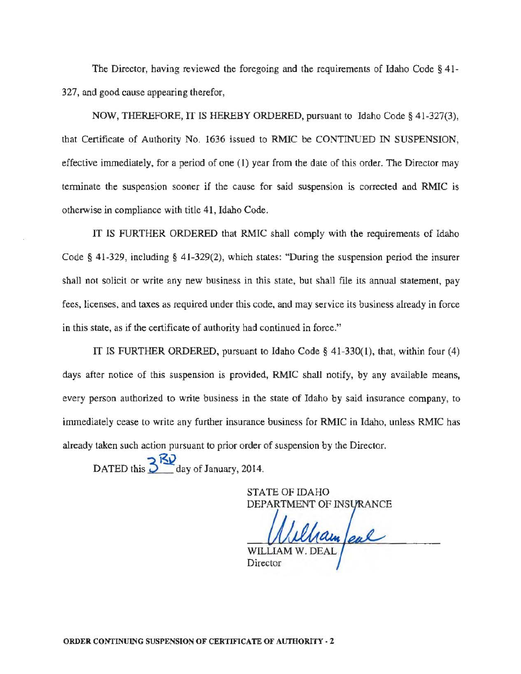The Director, having reviewed the foregoing and the requirements of Idaho Code § 41- 327, and good cause appearing therefor,

NOW, THEREFORE, IT IS HEREBY ORDERED, pursuant to Idaho Code§ 41-327(3), that Certificate of Authority No. 1636 issued to RMIC be CONTINUED IN SUSPENSION, effective inunediately, for a period of one (1) year from the date of this order. The Director may terminate the suspension sooner if the cause for said suspension is corrected and RMIC is otherwise in compliance with title 41, Idaho Code.

IT IS FURTHER ORDERED that RMIC shall comply with the requirements of Idaho Code § 41-329, including § 41-329(2), which states: "During the suspension period the insurer shall not solicit or write any new business in this state, but shall file its annual statement, pay fees, licenses, and taxes as required under this code, and may service its business already in force in this state, as if the certificate of authority had continued in force."

IT IS FURTHER ORDERED, pursuant to Idaho Code § 41-330(1), that, within four (4) days after notice of this suspension is provided, RMIC shall notify, by any available means, every person authorized to write business in the state of Idaho by said insurance company, to immediately cease to write any further insurance business for RMIC in Idaho, unless RMIC has already taken such action pursuant to prior order of suspension by the Director.

 $\overline{DATED}$  this  $\overline{3}$   $\overline{3}$  day of January, 2014.

STATE OF IDAHO DEPARTMENT OF INS

ham/eal

**Director**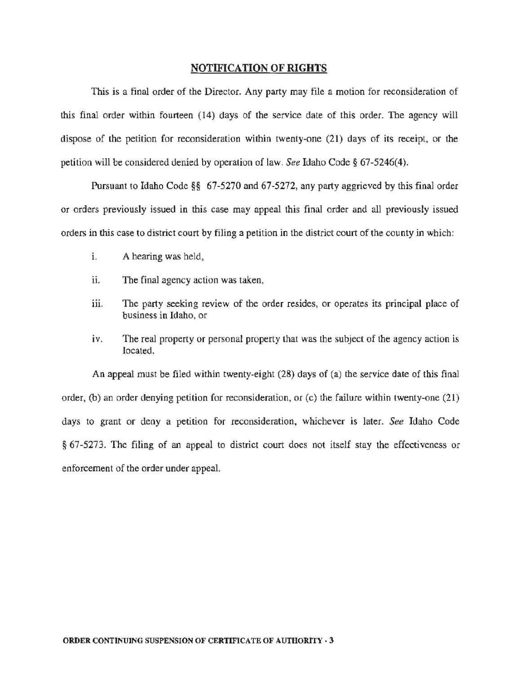#### NOTIFICATION OF RIGHTS

This is a final order of the Director. Any party may file a motion for reconsideration of this final order within fourteen (14) days of the service date of this order. The agency will dispose of the petition for reconsideration within twenty-one (21) days of its receipt, or the petition will be considered denied by operation of law. *See* Idaho Code§ 67-5246(4).

Pursuant to Idaho Code §§ 67-5270 and 67-5272, any party aggrieved by this final order or orders previously issued in this case may appeal this final order and all previously issued orders in this case to district court by filing a petition in the district court of the county in which:

- 1. A hearing was held,
- ii. The final agency action was taken,
- iii. The party seeking review of the order resides, or operates its principal place of business in Idaho, or
- iv. The real property or personal property that was the subject of the agency action is located.

An appeal must be filed within twenty-eight (28) days of (a) the service date of this final order, (b) an order denying petition for reconsideration, or (c) the failure within twenty-one (21) days to grant or deny a petition for reconsideration, whichever is later. *See* Idaho Code § 67-5273. The filing of an appeal to district court does not itself stay the effectiveness or enforcement of the order under appeal.